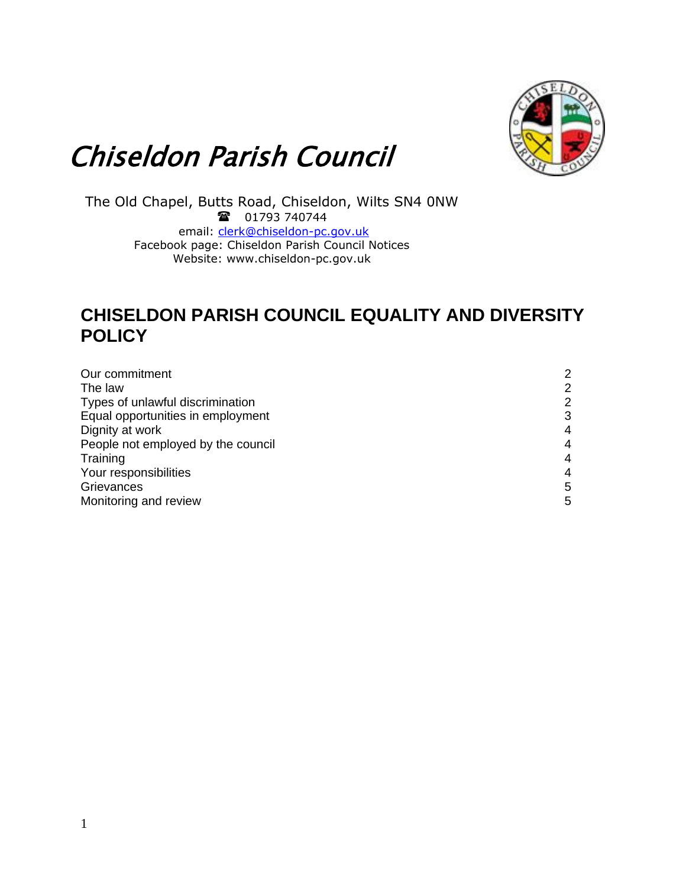

# Chiseldon Parish Council

The Old Chapel, Butts Road, Chiseldon, Wilts SN4 0NW 18 01793 740744 email: [clerk@chiseldon-pc.gov.uk](mailto:clerk@chiseldon-pc.gov.uk) Facebook page: Chiseldon Parish Council Notices Website: www.chiseldon-pc.gov.uk

# **CHISELDON PARISH COUNCIL EQUALITY AND DIVERSITY POLICY**

| Our commitment                     | $\overline{2}$ |
|------------------------------------|----------------|
| The law                            | $\overline{2}$ |
| Types of unlawful discrimination   | $\overline{2}$ |
| Equal opportunities in employment  | 3              |
| Dignity at work                    | 4              |
| People not employed by the council | 4              |
| Training                           | 4              |
| Your responsibilities              | 4              |
| Grievances                         | 5              |
| Monitoring and review              | 5              |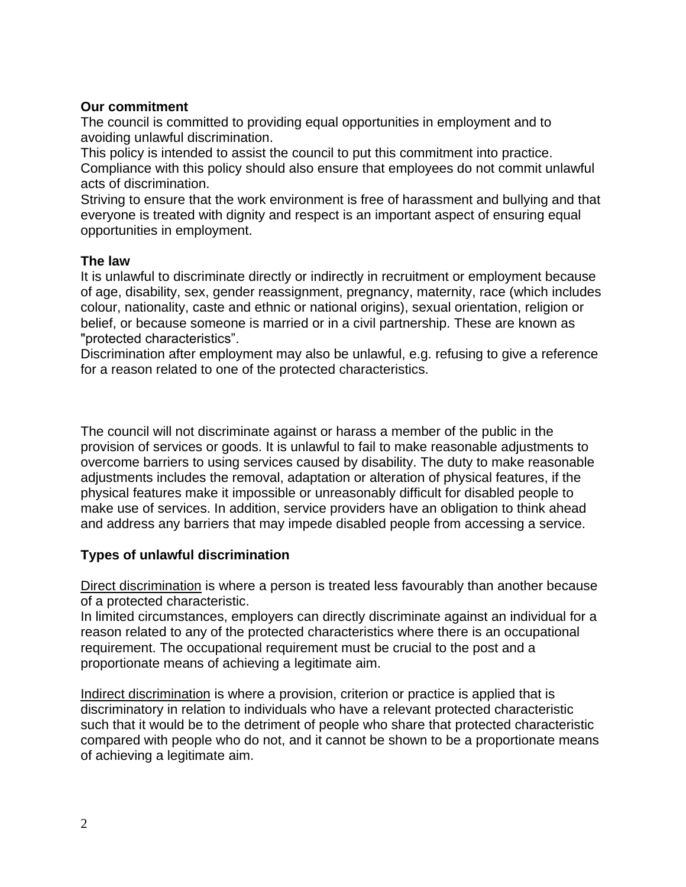### **Our commitment**

The council is committed to providing equal opportunities in employment and to avoiding unlawful discrimination.

This policy is intended to assist the council to put this commitment into practice. Compliance with this policy should also ensure that employees do not commit unlawful acts of discrimination.

Striving to ensure that the work environment is free of harassment and bullying and that everyone is treated with dignity and respect is an important aspect of ensuring equal opportunities in employment.

#### **The law**

It is unlawful to discriminate directly or indirectly in recruitment or employment because of age, disability, sex, gender reassignment, pregnancy, maternity, race (which includes colour, nationality, caste and ethnic or national origins), sexual orientation, religion or belief, or because someone is married or in a civil partnership. These are known as "protected characteristics".

Discrimination after employment may also be unlawful, e.g. refusing to give a reference for a reason related to one of the protected characteristics.

The council will not discriminate against or harass a member of the public in the provision of services or goods. It is unlawful to fail to make reasonable adjustments to overcome barriers to using services caused by disability. The duty to make reasonable adjustments includes the removal, adaptation or alteration of physical features, if the physical features make it impossible or unreasonably difficult for disabled people to make use of services. In addition, service providers have an obligation to think ahead and address any barriers that may impede disabled people from accessing a service.

## **Types of unlawful discrimination**

Direct discrimination is where a person is treated less favourably than another because of a protected characteristic.

In limited circumstances, employers can directly discriminate against an individual for a reason related to any of the protected characteristics where there is an occupational requirement. The occupational requirement must be crucial to the post and a proportionate means of achieving a legitimate aim.

Indirect discrimination is where a provision, criterion or practice is applied that is discriminatory in relation to individuals who have a relevant protected characteristic such that it would be to the detriment of people who share that protected characteristic compared with people who do not, and it cannot be shown to be a proportionate means of achieving a legitimate aim.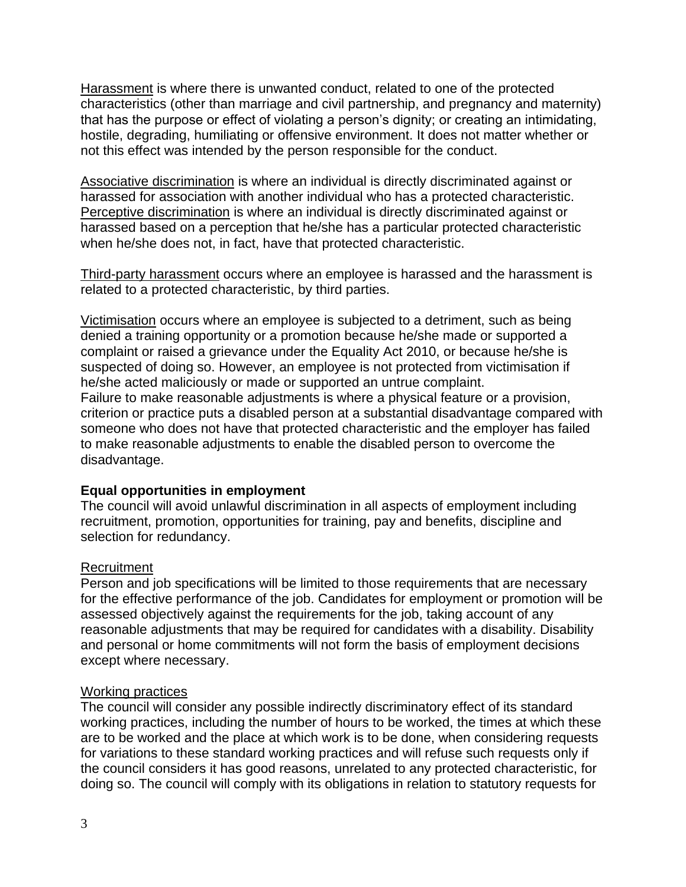Harassment is where there is unwanted conduct, related to one of the protected characteristics (other than marriage and civil partnership, and pregnancy and maternity) that has the purpose or effect of violating a person's dignity; or creating an intimidating, hostile, degrading, humiliating or offensive environment. It does not matter whether or not this effect was intended by the person responsible for the conduct.

Associative discrimination is where an individual is directly discriminated against or harassed for association with another individual who has a protected characteristic. Perceptive discrimination is where an individual is directly discriminated against or harassed based on a perception that he/she has a particular protected characteristic when he/she does not, in fact, have that protected characteristic.

Third-party harassment occurs where an employee is harassed and the harassment is related to a protected characteristic, by third parties.

Victimisation occurs where an employee is subjected to a detriment, such as being denied a training opportunity or a promotion because he/she made or supported a complaint or raised a grievance under the Equality Act 2010, or because he/she is suspected of doing so. However, an employee is not protected from victimisation if he/she acted maliciously or made or supported an untrue complaint. Failure to make reasonable adjustments is where a physical feature or a provision, criterion or practice puts a disabled person at a substantial disadvantage compared with someone who does not have that protected characteristic and the employer has failed to make reasonable adjustments to enable the disabled person to overcome the disadvantage.

#### **Equal opportunities in employment**

The council will avoid unlawful discrimination in all aspects of employment including recruitment, promotion, opportunities for training, pay and benefits, discipline and selection for redundancy.

#### Recruitment

Person and job specifications will be limited to those requirements that are necessary for the effective performance of the job. Candidates for employment or promotion will be assessed objectively against the requirements for the job, taking account of any reasonable adjustments that may be required for candidates with a disability. Disability and personal or home commitments will not form the basis of employment decisions except where necessary.

#### Working practices

The council will consider any possible indirectly discriminatory effect of its standard working practices, including the number of hours to be worked, the times at which these are to be worked and the place at which work is to be done, when considering requests for variations to these standard working practices and will refuse such requests only if the council considers it has good reasons, unrelated to any protected characteristic, for doing so. The council will comply with its obligations in relation to statutory requests for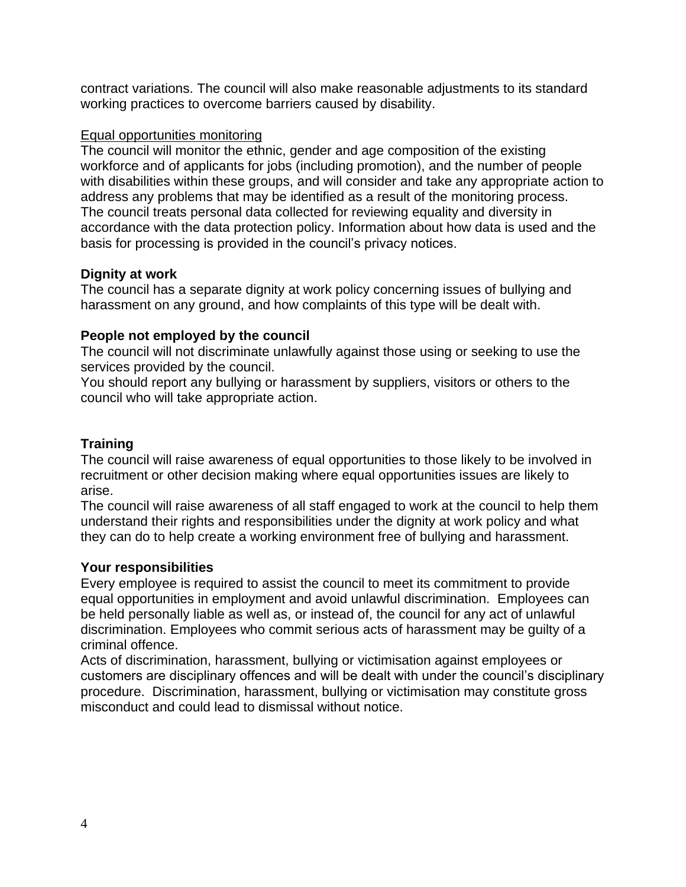contract variations. The council will also make reasonable adjustments to its standard working practices to overcome barriers caused by disability.

#### Equal opportunities monitoring

The council will monitor the ethnic, gender and age composition of the existing workforce and of applicants for jobs (including promotion), and the number of people with disabilities within these groups, and will consider and take any appropriate action to address any problems that may be identified as a result of the monitoring process. The council treats personal data collected for reviewing equality and diversity in accordance with the data protection policy. Information about how data is used and the basis for processing is provided in the council's privacy notices.

#### **Dignity at work**

The council has a separate dignity at work policy concerning issues of bullying and harassment on any ground, and how complaints of this type will be dealt with.

#### **People not employed by the council**

The council will not discriminate unlawfully against those using or seeking to use the services provided by the council.

You should report any bullying or harassment by suppliers, visitors or others to the council who will take appropriate action.

#### **Training**

The council will raise awareness of equal opportunities to those likely to be involved in recruitment or other decision making where equal opportunities issues are likely to arise.

The council will raise awareness of all staff engaged to work at the council to help them understand their rights and responsibilities under the dignity at work policy and what they can do to help create a working environment free of bullying and harassment.

#### **Your responsibilities**

Every employee is required to assist the council to meet its commitment to provide equal opportunities in employment and avoid unlawful discrimination. Employees can be held personally liable as well as, or instead of, the council for any act of unlawful discrimination. Employees who commit serious acts of harassment may be guilty of a criminal offence.

Acts of discrimination, harassment, bullying or victimisation against employees or customers are disciplinary offences and will be dealt with under the council's disciplinary procedure. Discrimination, harassment, bullying or victimisation may constitute gross misconduct and could lead to dismissal without notice.